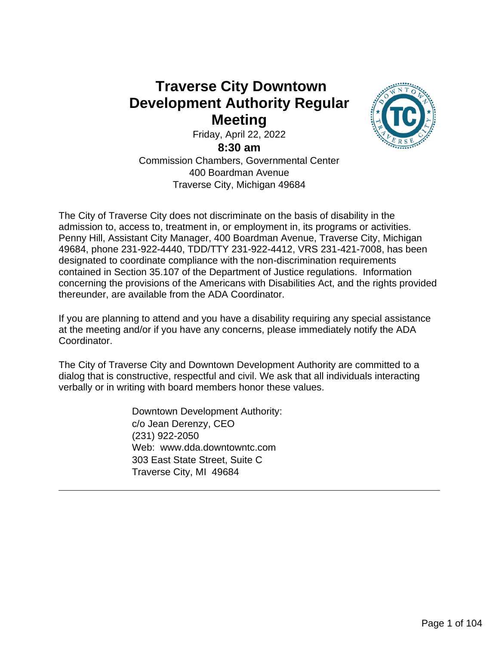## **Traverse City Downtown Development Authority Regular Meeting**



Friday, April 22, 2022

**8:30 am**

Commission Chambers, Governmental Center 400 Boardman Avenue Traverse City, Michigan 49684

The City of Traverse City does not discriminate on the basis of disability in the admission to, access to, treatment in, or employment in, its programs or activities. Penny Hill, Assistant City Manager, 400 Boardman Avenue, Traverse City, Michigan 49684, phone 231-922-4440, TDD/TTY 231-922-4412, VRS 231-421-7008, has been designated to coordinate compliance with the non-discrimination requirements contained in Section 35.107 of the Department of Justice regulations. Information concerning the provisions of the Americans with Disabilities Act, and the rights provided thereunder, are available from the ADA Coordinator.

If you are planning to attend and you have a disability requiring any special assistance at the meeting and/or if you have any concerns, please immediately notify the ADA Coordinator.

The City of Traverse City and Downtown Development Authority are committed to a dialog that is constructive, respectful and civil. We ask that all individuals interacting verbally or in writing with board members honor these values.

> Downtown Development Authority: c/o Jean Derenzy, CEO (231) 922-2050 Web: www.dda.downtowntc.com 303 East State Street, Suite C Traverse City, MI 49684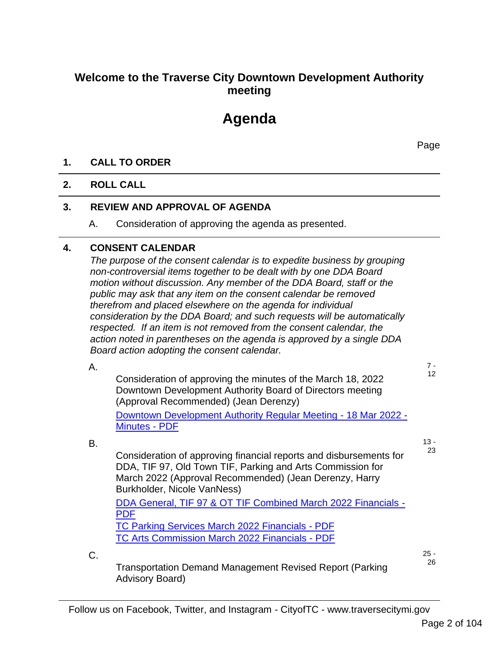### **Welcome to the Traverse City Downtown Development Authority meeting**

# **Agenda**

Page

#### **1. CALL TO ORDER**

#### **2. ROLL CALL**

C.

#### **3. REVIEW AND APPROVAL OF AGENDA**

A. Consideration of approving the agenda as presented.

#### **4. CONSENT CALENDAR**

*The purpose of the consent calendar is to expedite business by grouping non-controversial items together to be dealt with by one DDA Board motion without discussion. Any member of the DDA Board, staff or the public may ask that any item on the consent calendar be removed therefrom and placed elsewhere on the agenda for individual consideration by the DDA Board; and such requests will be automatically respected. If an item is not removed from the consent calendar, the action noted in parentheses on the agenda is approved by a single DDA Board action adopting the consent calendar.*

| Α. |                                                                                                                                                                                                                           | 7 -        |
|----|---------------------------------------------------------------------------------------------------------------------------------------------------------------------------------------------------------------------------|------------|
|    | Consideration of approving the minutes of the March 18, 2022<br>Downtown Development Authority Board of Directors meeting<br>(Approval Recommended) (Jean Derenzy)                                                        | 12         |
|    | Downtown Development Authority Regular Meeting - 18 Mar 2022 -                                                                                                                                                            |            |
|    | <b>Minutes - PDF</b>                                                                                                                                                                                                      |            |
| В. |                                                                                                                                                                                                                           | 13 -<br>23 |
|    | Consideration of approving financial reports and disbursements for<br>DDA, TIF 97, Old Town TIF, Parking and Arts Commission for<br>March 2022 (Approval Recommended) (Jean Derenzy, Harry<br>Burkholder, Nicole VanNess) |            |
|    | DDA General, TIF 97 & OT TIF Combined March 2022 Financials -                                                                                                                                                             |            |

TC Parking Services March 2022 Financials - PDF TC Arts Commission March 2022 Financials - PDF

25 -

Transportation Demand Management Revised Report (Parking Advisory Board)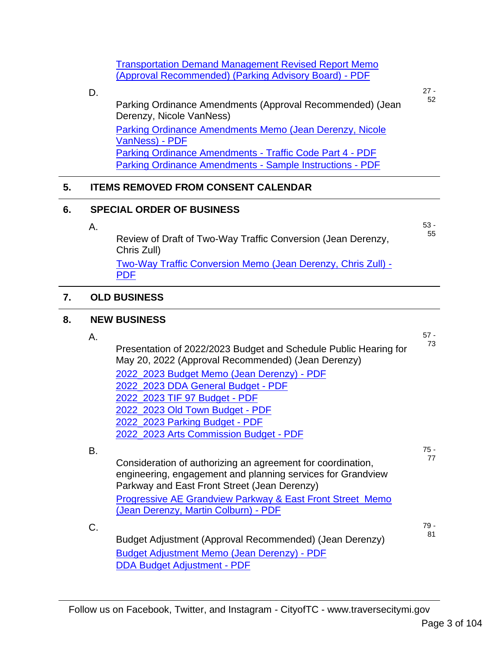| <b>Transportation Demand Management Revised Report Memo</b> |  |
|-------------------------------------------------------------|--|
| (Approval Recommended) (Parking Advisory Board) - PDF       |  |

|    | D.                               |                                                                                                                        | $27 -$ |  |  |
|----|----------------------------------|------------------------------------------------------------------------------------------------------------------------|--------|--|--|
|    |                                  | Parking Ordinance Amendments (Approval Recommended) (Jean<br>Derenzy, Nicole VanNess)                                  | 52     |  |  |
|    |                                  | Parking Ordinance Amendments Memo (Jean Derenzy, Nicole<br>VanNess) - PDF                                              |        |  |  |
|    |                                  | Parking Ordinance Amendments - Traffic Code Part 4 - PDF                                                               |        |  |  |
|    |                                  | Parking Ordinance Amendments - Sample Instructions - PDF                                                               |        |  |  |
| 5. |                                  | <b>ITEMS REMOVED FROM CONSENT CALENDAR</b>                                                                             |        |  |  |
| 6. | <b>SPECIAL ORDER OF BUSINESS</b> |                                                                                                                        |        |  |  |
|    | А.                               |                                                                                                                        | $53 -$ |  |  |
|    |                                  | Review of Draft of Two-Way Traffic Conversion (Jean Derenzy,<br>Chris Zull)                                            | 55     |  |  |
|    |                                  | Two-Way Traffic Conversion Memo (Jean Derenzy, Chris Zull) -<br><b>PDF</b>                                             |        |  |  |
|    |                                  |                                                                                                                        |        |  |  |
| 7. |                                  | <b>OLD BUSINESS</b>                                                                                                    |        |  |  |
| 8. | <b>NEW BUSINESS</b>              |                                                                                                                        |        |  |  |
|    |                                  |                                                                                                                        |        |  |  |
|    | А.                               |                                                                                                                        | $57 -$ |  |  |
|    |                                  | Presentation of 2022/2023 Budget and Schedule Public Hearing for<br>May 20, 2022 (Approval Recommended) (Jean Derenzy) | 73     |  |  |
|    |                                  | 2022_2023 Budget Memo (Jean Derenzy) - PDF                                                                             |        |  |  |
|    |                                  | 2022_2023 DDA General Budget - PDF                                                                                     |        |  |  |
|    |                                  | 2022_2023 TIF 97 Budget - PDF                                                                                          |        |  |  |
|    |                                  | 2022_2023 Old Town Budget - PDF                                                                                        |        |  |  |
|    |                                  | 2022_2023 Parking Budget - PDF<br>2022_2023 Arts Commission Budget - PDF                                               |        |  |  |
|    |                                  |                                                                                                                        | $75 -$ |  |  |
|    | В.                               | Consideration of authorizing an agreement for coordination,                                                            | 77     |  |  |
|    |                                  | engineering, engagement and planning services for Grandview                                                            |        |  |  |
|    |                                  | Parkway and East Front Street (Jean Derenzy)                                                                           |        |  |  |
|    |                                  | <b>Progressive AE Grandview Parkway &amp; East Front Street Memo</b><br>(Jean Derenzy, Martin Colburn) - PDF           |        |  |  |
|    | C.                               |                                                                                                                        | 79 -   |  |  |
|    |                                  | Budget Adjustment (Approval Recommended) (Jean Derenzy)                                                                | 81     |  |  |
|    |                                  | <b>Budget Adjustment Memo (Jean Derenzy) - PDF</b><br><b>DDA Budget Adjustment - PDF</b>                               |        |  |  |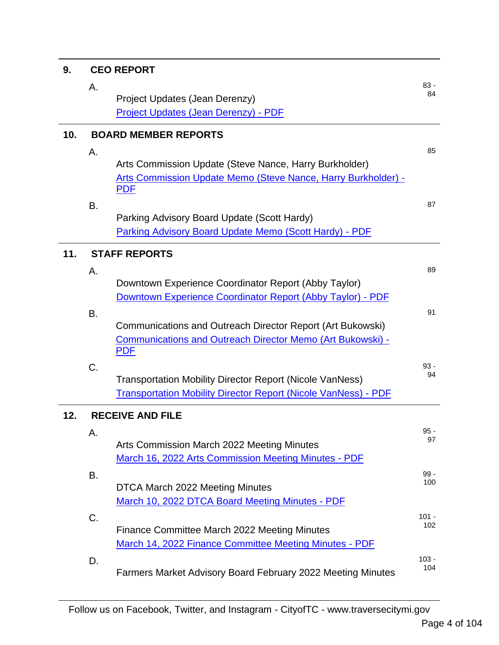| 9.  | <b>CEO REPORT</b>           |                                                                             |                |  |
|-----|-----------------------------|-----------------------------------------------------------------------------|----------------|--|
|     | Α.                          |                                                                             | $83 -$         |  |
|     |                             | Project Updates (Jean Derenzy)                                              | 84             |  |
|     |                             | Project Updates (Jean Derenzy) - PDF                                        |                |  |
| 10. | <b>BOARD MEMBER REPORTS</b> |                                                                             |                |  |
|     | Α.                          |                                                                             | 85             |  |
|     |                             | Arts Commission Update (Steve Nance, Harry Burkholder)                      |                |  |
|     |                             | Arts Commission Update Memo (Steve Nance, Harry Burkholder) -<br><b>PDF</b> |                |  |
|     | B.                          |                                                                             | 87             |  |
|     |                             | Parking Advisory Board Update (Scott Hardy)                                 |                |  |
|     |                             | Parking Advisory Board Update Memo (Scott Hardy) - PDF                      |                |  |
| 11. |                             | <b>STAFF REPORTS</b>                                                        |                |  |
|     | Α.                          |                                                                             | 89             |  |
|     |                             | Downtown Experience Coordinator Report (Abby Taylor)                        |                |  |
|     |                             | Downtown Experience Coordinator Report (Abby Taylor) - PDF                  |                |  |
|     | Β.                          |                                                                             | 91             |  |
|     |                             | Communications and Outreach Director Report (Art Bukowski)                  |                |  |
|     |                             | Communications and Outreach Director Memo (Art Bukowski) -<br><b>PDF</b>    |                |  |
|     | C.                          |                                                                             | $93 -$<br>94   |  |
|     |                             | <b>Transportation Mobility Director Report (Nicole VanNess)</b>             |                |  |
|     |                             | <b>Transportation Mobility Director Report (Nicole VanNess) - PDF</b>       |                |  |
| 12. |                             | <b>RECEIVE AND FILE</b>                                                     |                |  |
|     | Α.                          |                                                                             | $95 -$         |  |
|     |                             | Arts Commission March 2022 Meeting Minutes                                  | 97             |  |
|     |                             | March 16, 2022 Arts Commission Meeting Minutes - PDF                        |                |  |
|     | B.                          |                                                                             | $99 -$         |  |
|     |                             | DTCA March 2022 Meeting Minutes                                             | 100            |  |
|     |                             | March 10, 2022 DTCA Board Meeting Minutes - PDF                             |                |  |
|     | C.                          |                                                                             | $101 -$<br>102 |  |
|     |                             | Finance Committee March 2022 Meeting Minutes                                |                |  |
|     |                             | March 14, 2022 Finance Committee Meeting Minutes - PDF                      |                |  |
|     | D.                          | Farmers Market Advisory Board February 2022 Meeting Minutes                 | $103 -$<br>104 |  |